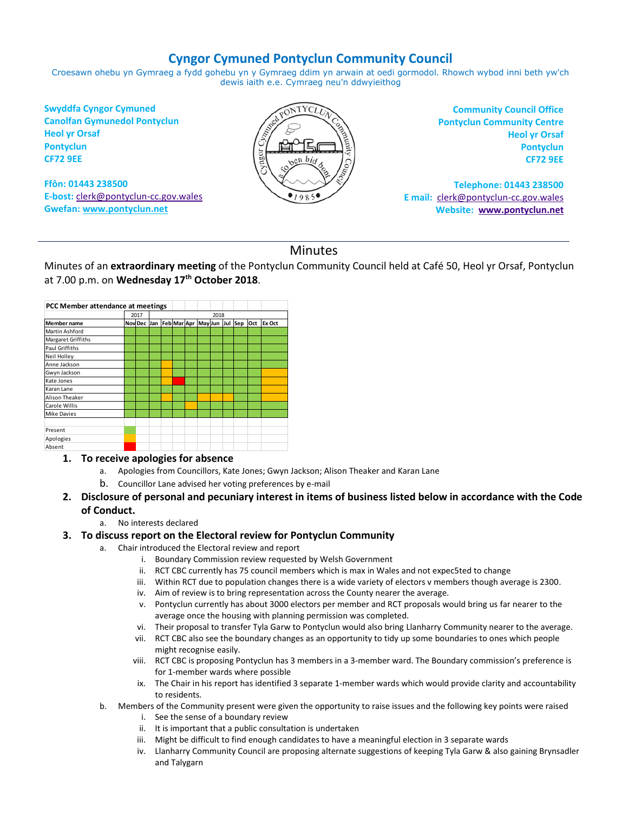## **Cyngor Cymuned Pontyclun Community Council**

Croesawn ohebu yn Gymraeg a fydd gohebu yn y Gymraeg ddim yn arwain at oedi gormodol. Rhowch wybod inni beth yw'ch dewis iaith e.e. Cymraeg neu'n ddwyieithog

**Swyddfa Cyngor Cymuned Canolfan Gymunedol Pontyclun Heol yr Orsaf Pontyclun CF72 9EE**

**Ffôn: 01443 238500 E-bost:** [clerk@pontyclun-cc.gov.wales](mailto:clerk@pontyclun-cc.gov.wales) **Gwefan[: www.pontyclun.net](http://www.pontyclun.net/)** 



**Community Council Office Pontyclun Community Centre Heol yr Orsaf Pontyclun CF72 9EE**

**Telephone: 01443 238500 E mail:** [clerk@pontyclun-cc.gov.wales](mailto:clerk@pontyclun-cc.gov.wales)  **Website: [www.pontyclun.net](http://www.pontyclun.net/)**

## Minutes

Minutes of an **extraordinary meeting** of the Pontyclun Community Council held at Café 50, Heol yr Orsaf, Pontyclun at 7.00 p.m. on **Wednesday 17 th October 2018**.

| PCC Member attendance at meetings |      |  |      |  |  |  |  |  |  |                                             |  |        |
|-----------------------------------|------|--|------|--|--|--|--|--|--|---------------------------------------------|--|--------|
|                                   | 2017 |  | 2018 |  |  |  |  |  |  |                                             |  |        |
| <b>Member name</b>                |      |  |      |  |  |  |  |  |  | NoviDec Jan Feb Mar Apr May Jun Jul Sep Oct |  | Ex Oct |
| Martin Ashford                    |      |  |      |  |  |  |  |  |  |                                             |  |        |
| Margaret Griffiths                |      |  |      |  |  |  |  |  |  |                                             |  |        |
| Paul Griffiths                    |      |  |      |  |  |  |  |  |  |                                             |  |        |
| Neil Holley                       |      |  |      |  |  |  |  |  |  |                                             |  |        |
| Anne Jackson                      |      |  |      |  |  |  |  |  |  |                                             |  |        |
| Gwyn Jackson                      |      |  |      |  |  |  |  |  |  |                                             |  |        |
| Kate Jones                        |      |  |      |  |  |  |  |  |  |                                             |  |        |
| Karan Lane                        |      |  |      |  |  |  |  |  |  |                                             |  |        |
| Alison Theaker                    |      |  |      |  |  |  |  |  |  |                                             |  |        |
| Carole Willis                     |      |  |      |  |  |  |  |  |  |                                             |  |        |
| <b>Mike Davies</b>                |      |  |      |  |  |  |  |  |  |                                             |  |        |
|                                   |      |  |      |  |  |  |  |  |  |                                             |  |        |
| Present                           |      |  |      |  |  |  |  |  |  |                                             |  |        |
| Apologies                         |      |  |      |  |  |  |  |  |  |                                             |  |        |
| Absent                            |      |  |      |  |  |  |  |  |  |                                             |  |        |

- **1. To receive apologies for absence**
	- a. Apologies from Councillors, Kate Jones; Gwyn Jackson; Alison Theaker and Karan Lane
	- b. Councillor Lane advised her voting preferences by e-mail
- **2. Disclosure of personal and pecuniary interest in items of business listed below in accordance with the Code of Conduct.**
	- a. No interests declared

## **3. To discuss report on the Electoral review for Pontyclun Community**

- a. Chair introduced the Electoral review and report
	- i. Boundary Commission review requested by Welsh Government
	- ii. RCT CBC currently has 75 council members which is max in Wales and not expec5ted to change
	- iii. Within RCT due to population changes there is a wide variety of electors v members though average is 2300.
	- iv. Aim of review is to bring representation across the County nearer the average.
	- v. Pontyclun currently has about 3000 electors per member and RCT proposals would bring us far nearer to the average once the housing with planning permission was completed.
	- vi. Their proposal to transfer Tyla Garw to Pontyclun would also bring Llanharry Community nearer to the average.
	- vii. RCT CBC also see the boundary changes as an opportunity to tidy up some boundaries to ones which people might recognise easily.
	- viii. RCT CBC is proposing Pontyclun has 3 members in a 3-member ward. The Boundary commission's preference is for 1-member wards where possible
	- ix. The Chair in his report has identified 3 separate 1-member wards which would provide clarity and accountability to residents.

b. Members of the Community present were given the opportunity to raise issues and the following key points were raised

- i. See the sense of a boundary review
- ii. It is important that a public consultation is undertaken
- iii. Might be difficult to find enough candidates to have a meaningful election in 3 separate wards
- iv. Llanharry Community Council are proposing alternate suggestions of keeping Tyla Garw & also gaining Brynsadler and Talygarn